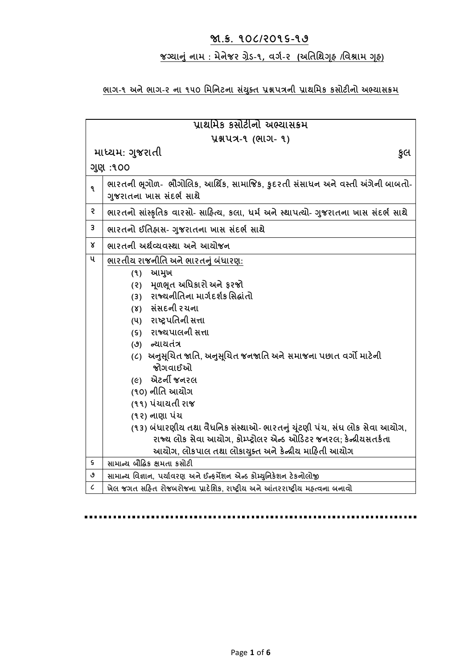# **જા.ક્ર. ૧૦૮/૨૦૧૬-૧૭**

# **જગ્યાન ું નામ : મેનેજર ગ્રેડ-૧, વર્ગ-૨ (અતિતિગ ૃહ /તવશ્રામ ગ ૃહ)**

# **ભાર્-૧ અને ભાર્-૨ ના ૧૫૦ તમતનટના સયું ક્ િ પ્રશ્નપત્રની પ્રાિતમક કસોટીનો અભ્યાસક્રમ**

| પ્રાથમિક કસોટીનો અભ્યાસક્રમ  |                                                                                                            |
|------------------------------|------------------------------------------------------------------------------------------------------------|
| <b>પ્રશ્નપત્ર-૧ (ભાગ- ૧)</b> |                                                                                                            |
| માધ્યમ: ગુજરાતી<br>કુલ       |                                                                                                            |
| ગુણ :૧૦૦                     |                                                                                                            |
| ۹                            | ભારતની ભૂગોળ-  ભૌગોલિક, આર્થિક, સામાજિક, કુદરતી સંસાધન અને વસ્તી અંગેની બાબતો-<br>ગુજરાતના ખાસ સંદર્ભ સાથે |
| 5                            | ભારતનો સાંસ્કૃતિક વારસો- સાહિત્ય, કલા, ધર્મ અને સ્થાપત્યો- ગુજરાતના ખાસ સંદર્ભ સાથે                        |
| 3                            | ભારતનો ઈતિહ્વાસ- ગુજરાતના ખાસ સંદર્ભ સાથે                                                                  |
| Χ                            | ભારતની અર્થવ્યવસ્થા અને આયોજન                                                                              |
| ૫                            | ભારતીય રાજનીતિ અને ભારતનું બંધારણ:                                                                         |
|                              | આમુખ<br>(9)                                                                                                |
|                              | મૂળભૂત અધિકારો અને ફરજો<br>(5)                                                                             |
|                              | (3) રાજ્યનીતિના માર્ગદર્શક સિદ્ધાંતો                                                                       |
|                              | (४) સંસદની રચના                                                                                            |
|                              | (૫) રાષ્ટ્રપતિની સત્તા                                                                                     |
|                              | (s) રાજ્યપાલની સત્તા                                                                                       |
|                              | (૭) ન્યાયતંત્ર                                                                                             |
|                              | (૮) અનુસૂચિત જાતિ, અનુસૂચિત જનજાતિ અને સમાજના પછાત વર્ગો માટેની<br>જોગવાઈઓ                                 |
|                              | (૯) એટર્ની જનરલ                                                                                            |
|                              | (૧૦) નીતિ આયોગ                                                                                             |
|                              | (૧૧) પંચાયતી રાજ                                                                                           |
|                              | (૧૨) નાણા પંચ                                                                                              |
|                              | (૧૩) બંધારણીય તથા વૈધનિક સંસ્થાઓ- ભારતનું યુંટણી પંચ, સંઘ લોક સેવા આયોગ,                                   |
|                              | રાજ્ય લોક સેવા આયોગ, કોમ્પ્ટ્રોલર એન્ડ ઓડિટર જનરલ; કેન્દ્રીયસતર્કતા                                        |
|                              | આયોગ, લોકપાલ તથા લોકાયુક્ત અને કેન્દ્રીય માહિતી આયોગ                                                       |
| ς                            | સામાન્ય બૌદ્ધિક ક્ષમતા કસોટી                                                                               |
| ٯ                            | સામાન્ચ વિજ્ઞાન, પર્યાવરણ અને ઈન્ફર્મેશન એન્ડ કોમ્યુનિકેશન ટેકનોલોજી                                       |
| $\pmb{\zeta}$                | ખેલ જગત સહિત રોજબરોજના પ્રાદેશિક, રાષ્ટ્રીય અને આંતરરાષ્ટ્રીય મહ્ત્વના બનાવો                               |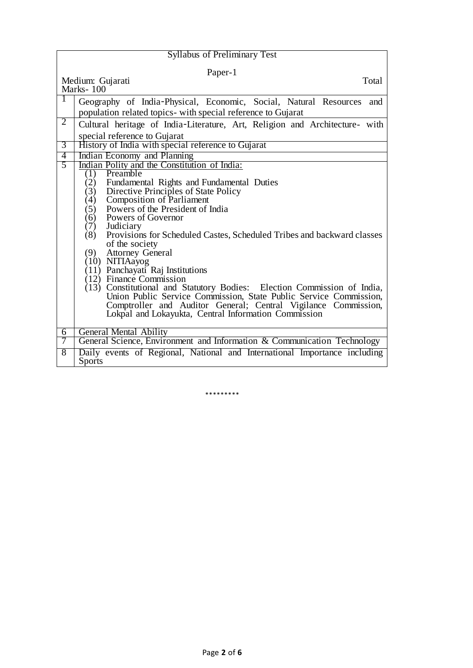| <b>Syllabus of Preliminary Test</b>    |                                                                               |  |
|----------------------------------------|-------------------------------------------------------------------------------|--|
| Paper-1                                |                                                                               |  |
| Medium: Gujarati<br>Total<br>Marks-100 |                                                                               |  |
| 1                                      | Geography of India-Physical, Economic, Social, Natural Resources<br>and       |  |
| 2                                      | population related topics- with special reference to Gujarat                  |  |
|                                        | Cultural heritage of India-Literature, Art, Religion and Architecture- with   |  |
|                                        | special reference to Gujarat                                                  |  |
| 3                                      | History of India with special reference to Gujarat                            |  |
| 4<br>5                                 | Indian Economy and Planning                                                   |  |
|                                        | Indian Polity and the Constitution of India:<br>Preamble<br>(1)               |  |
|                                        | (2)<br>Fundamental Rights and Fundamental Duties                              |  |
|                                        | Directive Principles of State Policy<br>(3)                                   |  |
|                                        | <b>Composition of Parliament</b><br>(4)                                       |  |
|                                        | Powers of the President of India<br>(5)                                       |  |
|                                        | Powers of Governor<br>(6)                                                     |  |
|                                        | (7)<br>Judiciary                                                              |  |
|                                        | (8)<br>Provisions for Scheduled Castes, Scheduled Tribes and backward classes |  |
|                                        | of the society                                                                |  |
|                                        | <b>Attorney General</b><br>(9)                                                |  |
|                                        | (10) NITIAayog                                                                |  |
|                                        | (11) Panchayati Raj Institutions<br>(12) Finance Commission                   |  |
|                                        | (13) Constitutional and Statutory Bodies: Election Commission of India,       |  |
|                                        | Union Public Service Commission, State Public Service Commission,             |  |
|                                        | Comptroller and Auditor General; Central Vigilance Commission,                |  |
|                                        | Lokpal and Lokayukta, Central Information Commission                          |  |
|                                        |                                                                               |  |
| 6                                      | <b>General Mental Ability</b>                                                 |  |
| 7                                      | General Science, Environment and Information & Communication Technology       |  |
| 8                                      | Daily events of Regional, National and International Importance including     |  |
|                                        | <b>Sports</b>                                                                 |  |

\*\*\*\*\*\*\*\*\*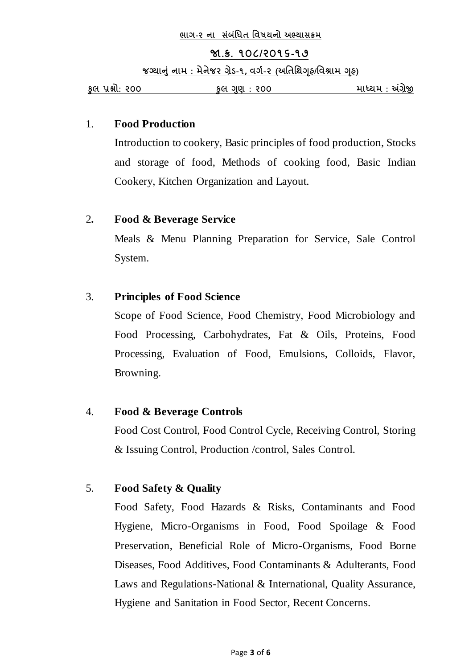#### **જા.ક્ર. ૧૦૮/૨૦૧૬-૧૭**

**જગ્યાન ું નામ : મેનેજર ગ્રેડ-૧, વર્ગ-૨ (અતિતિગ ૃહ/તવશ્રામ ગ ૃહ)** 

**ક લ પ્રશ્નો: ૨૦૦ ક લ ગણ : ૨૦૦ માધ્યમ : અંગ્રેજી**

#### 1. **Food Production**

Introduction to cookery, Basic principles of food production, Stocks and storage of food, Methods of cooking food, Basic Indian Cookery, Kitchen Organization and Layout.

## 2**. Food & Beverage Service**

Meals & Menu Planning Preparation for Service, Sale Control System.

# 3. **Principles of Food Science**

Scope of Food Science, Food Chemistry, Food Microbiology and Food Processing, Carbohydrates, Fat & Oils, Proteins, Food Processing, Evaluation of Food, Emulsions, Colloids, Flavor, Browning.

## 4. **Food & Beverage Controls**

Food Cost Control, Food Control Cycle, Receiving Control, Storing & Issuing Control, Production /control, Sales Control.

# 5. **Food Safety & Quality**

Food Safety, Food Hazards & Risks, Contaminants and Food Hygiene, Micro-Organisms in Food, Food Spoilage & Food Preservation, Beneficial Role of Micro-Organisms, Food Borne Diseases, Food Additives, Food Contaminants & Adulterants, Food Laws and Regulations-National & International, Quality Assurance, Hygiene and Sanitation in Food Sector, Recent Concerns.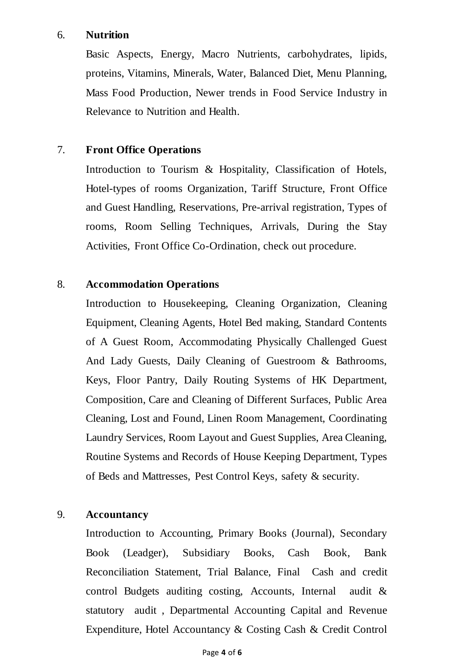#### 6. **Nutrition**

Basic Aspects, Energy, Macro Nutrients, carbohydrates, lipids, proteins, Vitamins, Minerals, Water, Balanced Diet, Menu Planning, Mass Food Production, Newer trends in Food Service Industry in Relevance to Nutrition and Health.

# 7. **Front Office Operations**

Introduction to Tourism & Hospitality, Classification of Hotels, Hotel-types of rooms Organization, Tariff Structure, Front Office and Guest Handling, Reservations, Pre-arrival registration, Types of rooms, Room Selling Techniques, Arrivals, During the Stay Activities, Front Office Co-Ordination, check out procedure.

## 8. **Accommodation Operations**

Introduction to Housekeeping, Cleaning Organization, Cleaning Equipment, Cleaning Agents, Hotel Bed making, Standard Contents of A Guest Room, Accommodating Physically Challenged Guest And Lady Guests, Daily Cleaning of Guestroom & Bathrooms, Keys, Floor Pantry, Daily Routing Systems of HK Department, Composition, Care and Cleaning of Different Surfaces, Public Area Cleaning, Lost and Found, Linen Room Management, Coordinating Laundry Services, Room Layout and Guest Supplies, Area Cleaning, Routine Systems and Records of House Keeping Department, Types of Beds and Mattresses, Pest Control Keys, safety & security.

## 9. **Accountancy**

Introduction to Accounting, Primary Books (Journal), Secondary Book (Leadger), Subsidiary Books, Cash Book, Bank Reconciliation Statement, Trial Balance, Final Cash and credit control Budgets auditing costing, Accounts, Internal audit & statutory audit , Departmental Accounting Capital and Revenue Expenditure, Hotel Accountancy & Costing Cash & Credit Control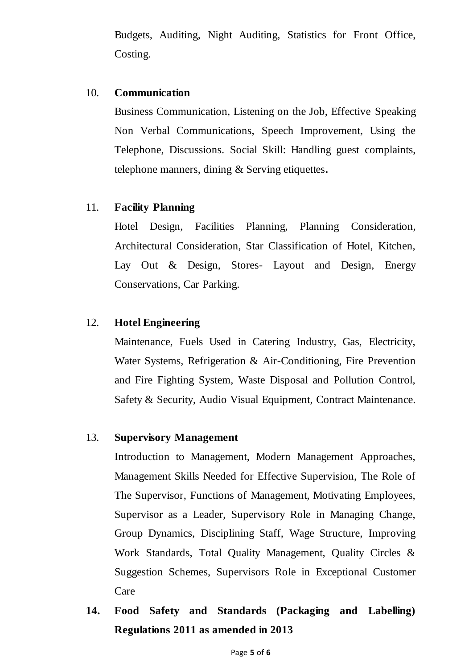Budgets, Auditing, Night Auditing, Statistics for Front Office, Costing.

#### 10. **Communication**

Business Communication, Listening on the Job, Effective Speaking Non Verbal Communications, Speech Improvement, Using the Telephone, Discussions. Social Skill: Handling guest complaints, telephone manners, dining & Serving etiquettes**.**

#### 11. **Facility Planning**

Hotel Design, Facilities Planning, Planning Consideration, Architectural Consideration, Star Classification of Hotel, Kitchen, Lay Out & Design, Stores- Layout and Design, Energy Conservations, Car Parking.

## 12. **Hotel Engineering**

Maintenance, Fuels Used in Catering Industry, Gas, Electricity, Water Systems, Refrigeration & Air-Conditioning, Fire Prevention and Fire Fighting System, Waste Disposal and Pollution Control, Safety & Security, Audio Visual Equipment, Contract Maintenance.

#### 13. **Supervisory Management**

Introduction to Management, Modern Management Approaches, Management Skills Needed for Effective Supervision, The Role of The Supervisor, Functions of Management, Motivating Employees, Supervisor as a Leader, Supervisory Role in Managing Change, Group Dynamics, Disciplining Staff, Wage Structure, Improving Work Standards, Total Quality Management, Quality Circles & Suggestion Schemes, Supervisors Role in Exceptional Customer Care

**14. Food Safety and Standards (Packaging and Labelling) Regulations 2011 as amended in 2013**